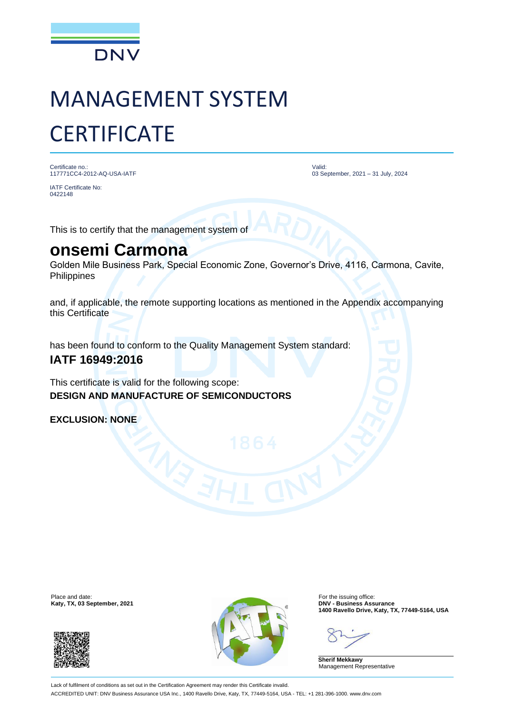

# MANAGEMENT SYSTEM **CERTIFICATE**

Certificate no.: 117771CC4-2012-AQ-USA-IATF

Valid: 03 September, 2021 – 31 July, 2024

0422148

IATF Certificate No:

This is to certify that the management system of

## **onsemi Carmona**

Golden Mile Business Park, Special Economic Zone, Governor's Drive, 4116, Carmona, Cavite, **Philippines** 

and, if applicable, the remote supporting locations as mentioned in the Appendix accompanying this Certificate

has been found to conform to the Quality Management System standard:

### **IATF 16949:2016**

This certificate is valid for the following scope: **DESIGN AND MANUFACTURE OF SEMICONDUCTORS**

**EXCLUSION: NONE**

**Katy, TX, 03 September, 2021** 





**1400 Ravello Drive, Katy, TX, 77449-5164, USA**

**Sherif Mekkawy** Management Representative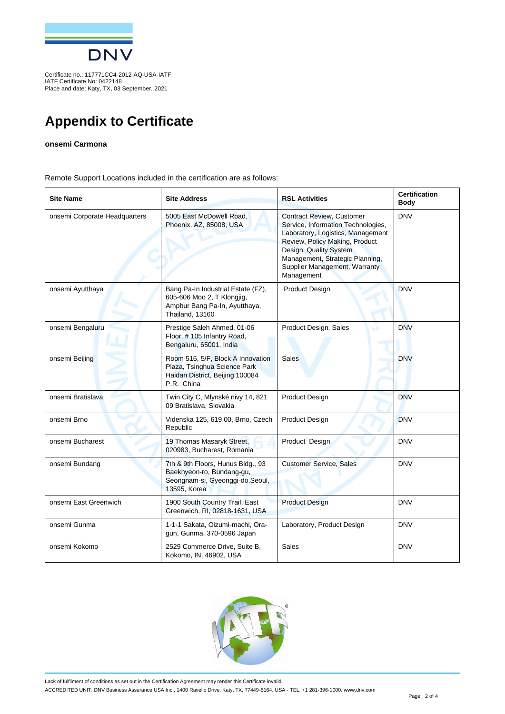

Certificate no.: 117771CC4-2012-AQ-USA-IATF IATF Certificate No: 0422148 Place and date: Katy, TX, 03 September, 2021

## **Appendix to Certificate**

#### **onsemi Carmona**

Remote Support Locations included in the certification are as follows:

| <b>Site Name</b>              | <b>Site Address</b>                                                                                                  | <b>RSL Activities</b>                                                                                                                                                                                                                                     | <b>Certification</b><br><b>Body</b> |
|-------------------------------|----------------------------------------------------------------------------------------------------------------------|-----------------------------------------------------------------------------------------------------------------------------------------------------------------------------------------------------------------------------------------------------------|-------------------------------------|
| onsemi Corporate Headquarters | 5005 East McDowell Road,<br>Phoenix, AZ, 85008, USA                                                                  | <b>Contract Review, Customer</b><br>Service, Information Technologies,<br>Laboratory, Logistics, Management<br>Review, Policy Making, Product<br>Design, Quality System<br>Management, Strategic Planning,<br>Supplier Management, Warranty<br>Management | <b>DNV</b>                          |
| onsemi Ayutthaya              | Bang Pa-In Industrial Estate (FZ),<br>605-606 Moo 2, T Klongjig,<br>Amphur Bang Pa-In, Ayutthaya,<br>Thailand, 13160 | Product Design                                                                                                                                                                                                                                            | <b>DNV</b>                          |
| onsemi Bengaluru              | Prestige Saleh Ahmed, 01-06<br>Floor, #105 Infantry Road,<br>Bengaluru, 65001, India                                 | Product Design, Sales<br>ده                                                                                                                                                                                                                               | <b>DNV</b>                          |
| onsemi Beijing                | Room 516, 5/F, Block A Innovation<br>Plaza, Tsinghua Science Park<br>Haidan District, Beijing 100084<br>P.R. China   | <b>Sales</b>                                                                                                                                                                                                                                              | <b>DNV</b>                          |
| onsemi Bratislava             | Twin City C, Mlynské nivy 14, 821<br>09 Bratislava, Slovakia                                                         | Product Design                                                                                                                                                                                                                                            | <b>DNV</b>                          |
| onsemi Brno                   | Videnska 125, 619 00, Brno, Czech<br>Republic                                                                        | <b>Product Design</b>                                                                                                                                                                                                                                     | <b>DNV</b>                          |
| onsemi Bucharest              | 19 Thomas Masaryk Street,<br>020983, Bucharest, Romania                                                              | Product Design                                                                                                                                                                                                                                            | <b>DNV</b>                          |
| onsemi Bundang                | 7th & 9th Floors, Hunus Bldg., 93<br>Baekhyeon-ro, Bundang-gu,<br>Seongnam-si, Gyeonggi-do, Seoul,<br>13595, Korea   | <b>Customer Service, Sales</b>                                                                                                                                                                                                                            | <b>DNV</b>                          |
| onsemi East Greenwich         | 1900 South Country Trail, East<br>Greenwich, RI, 02818-1631, USA                                                     | <b>Product Design</b>                                                                                                                                                                                                                                     | <b>DNV</b>                          |
| onsemi Gunma                  | 1-1-1 Sakata, Oizumi-machi, Ora-<br>gun, Gunma, 370-0596 Japan                                                       | Laboratory, Product Design                                                                                                                                                                                                                                | <b>DNV</b>                          |
| onsemi Kokomo                 | 2529 Commerce Drive, Suite B,<br>Kokomo, IN, 46902, USA                                                              | Sales                                                                                                                                                                                                                                                     | <b>DNV</b>                          |



Lack of fulfilment of conditions as set out in the Certification Agreement may render this Certificate invalid. ACCREDITED UNIT: DNV Business Assurance USA Inc., 1400 Ravello Drive, Katy, TX, 77449-5164, USA - TEL: +1 281-396-1000. www.dnv.com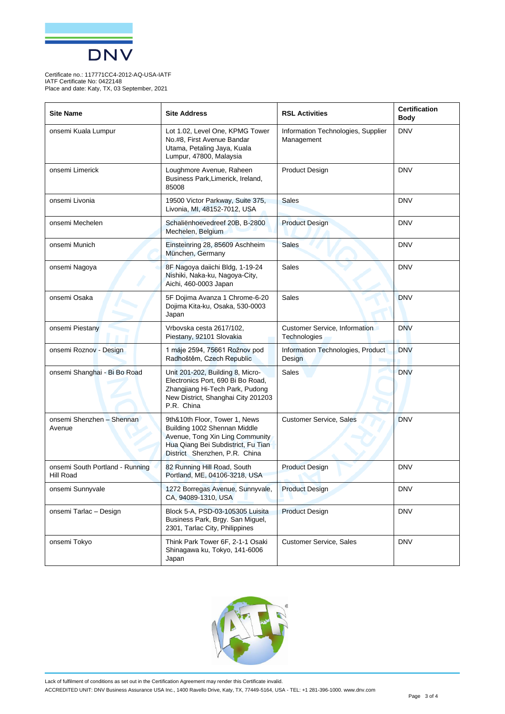

Certificate no.: 117771CC4-2012-AQ-USA-IATF IATF Certificate No: 0422148 Place and date: Katy, TX, 03 September, 2021

| <b>Site Name</b>                             | <b>Site Address</b>                                                                                                                                                     | <b>RSL Activities</b>                            | <b>Certification</b><br>Body |
|----------------------------------------------|-------------------------------------------------------------------------------------------------------------------------------------------------------------------------|--------------------------------------------------|------------------------------|
| onsemi Kuala Lumpur                          | Lot 1.02, Level One, KPMG Tower<br>No.#8, First Avenue Bandar<br>Utama, Petaling Jaya, Kuala<br>Lumpur, 47800, Malaysia                                                 | Information Technologies, Supplier<br>Management | <b>DNV</b>                   |
| onsemi Limerick                              | Loughmore Avenue, Raheen<br>Business Park, Limerick, Ireland,<br>85008                                                                                                  | <b>Product Design</b>                            | <b>DNV</b>                   |
| onsemi Livonia                               | 19500 Victor Parkway, Suite 375,<br>Livonia, MI, 48152-7012, USA                                                                                                        | <b>Sales</b>                                     | <b>DNV</b>                   |
| onsemi Mechelen                              | Schaliënhoevedreef 20B, B-2800<br>Mechelen, Belgium                                                                                                                     | <b>Product Design</b>                            | <b>DNV</b>                   |
| onsemi Munich                                | Einsteinring 28, 85609 Aschheim<br>München, Germany                                                                                                                     | <b>Sales</b>                                     | <b>DNV</b>                   |
| onsemi Nagoya                                | 8F Nagoya daiichi Bldg, 1-19-24<br>Nishiki, Naka-ku, Nagoya-City,<br>Aichi, 460-0003 Japan                                                                              | <b>Sales</b>                                     | <b>DNV</b>                   |
| onsemi Osaka                                 | 5F Dojima Avanza 1 Chrome-6-20<br>Dojima Kita-ku, Osaka, 530-0003<br>Japan                                                                                              | <b>Sales</b>                                     | <b>DNV</b>                   |
| onsemi Piestany                              | Vrbovska cesta 2617/102,<br>Piestany, 92101 Slovakia                                                                                                                    | Customer Service, Information<br>Technologies    | <b>DNV</b>                   |
| onsemi Roznov - Design                       | 1 máje 2594, 75661 Rožnov pod<br>Radhoštěm, Czech Republic                                                                                                              | Information Technologies, Product<br>Design      | <b>DNV</b>                   |
| onsemi Shanghai - Bi Bo Road                 | Unit 201-202, Building 8, Micro-<br>Electronics Port, 690 Bi Bo Road,<br>Zhangjiang Hi-Tech Park, Pudong<br>New District, Shanghai City 201203<br>P.R. China            | Sales                                            | <b>DNV</b>                   |
| onsemi Shenzhen - Shennan<br>Avenue          | 9th&10th Floor, Tower 1, News<br>Building 1002 Shennan Middle<br>Avenue, Tong Xin Ling Community<br>Hua Qiang Bei Subdistrict, Fu Tian<br>District Shenzhen, P.R. China | <b>Customer Service, Sales</b>                   | <b>DNV</b>                   |
| onsemi South Portland - Running<br>Hill Road | 82 Running Hill Road, South<br>Portland, ME, 04106-3218, USA                                                                                                            | <b>Product Design</b>                            | <b>DNV</b>                   |
| onsemi Sunnyvale                             | 1272 Borregas Avenue, Sunnyvale,<br>CA, 94089-1310, USA                                                                                                                 | <b>Product Design</b>                            | <b>DNV</b>                   |
| onsemi Tarlac - Design                       | Block 5-A, PSD-03-105305 Luisita<br>Business Park, Brgy. San Miguel,<br>2301, Tarlac City, Philippines                                                                  | <b>Product Design</b>                            | <b>DNV</b>                   |
| onsemi Tokyo                                 | Think Park Tower 6F, 2-1-1 Osaki<br>Shinagawa ku, Tokyo, 141-6006<br>Japan                                                                                              | Customer Service, Sales                          | <b>DNV</b>                   |



Lack of fulfilment of conditions as set out in the Certification Agreement may render this Certificate invalid. ACCREDITED UNIT: DNV Business Assurance USA Inc., 1400 Ravello Drive, Katy, TX, 77449-5164, USA - TEL: +1 281-396-1000. www.dnv.com